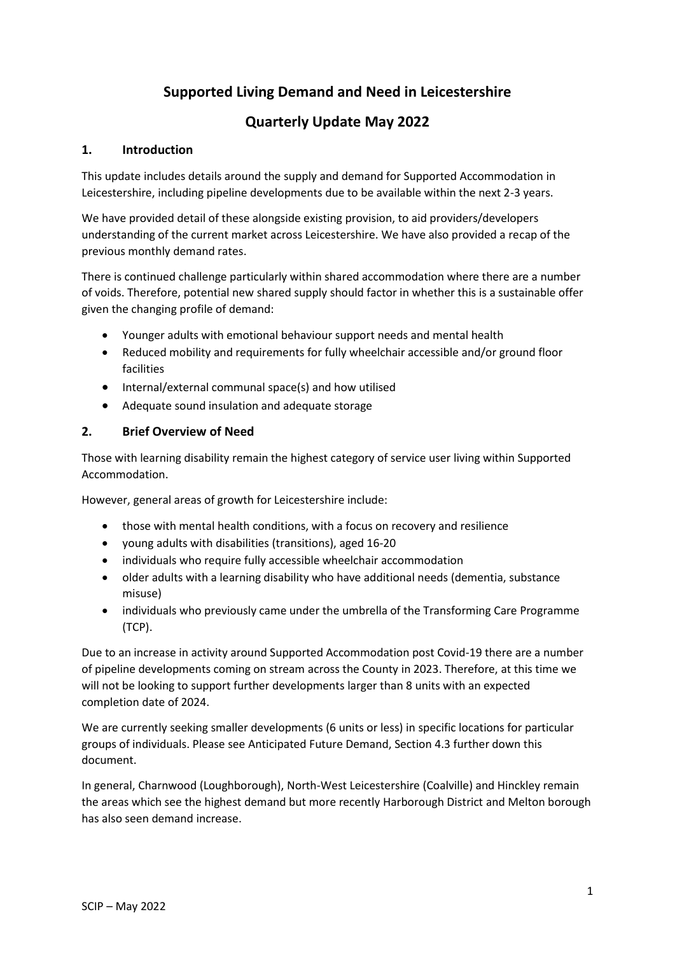# **Supported Living Demand and Need in Leicestershire**

# **Quarterly Update May 2022**

#### **1. Introduction**

This update includes details around the supply and demand for Supported Accommodation in Leicestershire, including pipeline developments due to be available within the next 2-3 years.

We have provided detail of these alongside existing provision, to aid providers/developers understanding of the current market across Leicestershire. We have also provided a recap of the previous monthly demand rates.

There is continued challenge particularly within shared accommodation where there are a number of voids. Therefore, potential new shared supply should factor in whether this is a sustainable offer given the changing profile of demand:

- Younger adults with emotional behaviour support needs and mental health
- Reduced mobility and requirements for fully wheelchair accessible and/or ground floor facilities
- Internal/external communal space(s) and how utilised
- Adequate sound insulation and adequate storage

#### **2. Brief Overview of Need**

Those with learning disability remain the highest category of service user living within Supported Accommodation.

However, general areas of growth for Leicestershire include:

- those with mental health conditions, with a focus on recovery and resilience
- young adults with disabilities (transitions), aged 16-20
- individuals who require fully accessible wheelchair accommodation
- older adults with a learning disability who have additional needs (dementia, substance misuse)
- individuals who previously came under the umbrella of the Transforming Care Programme (TCP).

Due to an increase in activity around Supported Accommodation post Covid-19 there are a number of pipeline developments coming on stream across the County in 2023. Therefore, at this time we will not be looking to support further developments larger than 8 units with an expected completion date of 2024.

We are currently seeking smaller developments (6 units or less) in specific locations for particular groups of individuals. Please see Anticipated Future Demand, Section 4.3 further down this document.

In general, Charnwood (Loughborough), North-West Leicestershire (Coalville) and Hinckley remain the areas which see the highest demand but more recently Harborough District and Melton borough has also seen demand increase.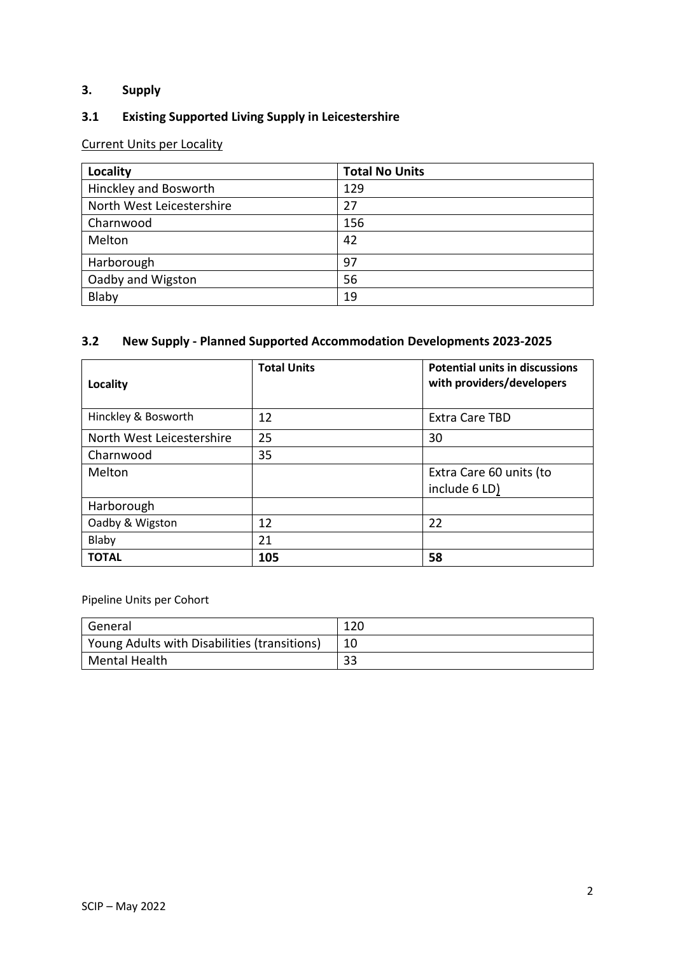## **3. Supply**

## **3.1 Existing Supported Living Supply in Leicestershire**

## Current Units per Locality

| Locality                  | <b>Total No Units</b> |
|---------------------------|-----------------------|
| Hinckley and Bosworth     | 129                   |
| North West Leicestershire | 27                    |
| Charnwood                 | 156                   |
| Melton                    | 42                    |
| Harborough                | 97                    |
| Oadby and Wigston         | 56                    |
| Blaby                     | 19                    |

### **3.2 New Supply - Planned Supported Accommodation Developments 2023-2025**

| Locality                  | <b>Total Units</b> | <b>Potential units in discussions</b><br>with providers/developers |
|---------------------------|--------------------|--------------------------------------------------------------------|
| Hinckley & Bosworth       | 12                 | <b>Extra Care TBD</b>                                              |
| North West Leicestershire | 25                 | 30                                                                 |
| Charnwood                 | 35                 |                                                                    |
| Melton                    |                    | Extra Care 60 units (to                                            |
|                           |                    | include 6 LD)                                                      |
| Harborough                |                    |                                                                    |
| Oadby & Wigston           | 12                 | 22                                                                 |
| Blaby                     | 21                 |                                                                    |
| <b>TOTAL</b>              | 105                | 58                                                                 |

Pipeline Units per Cohort

| General                                      | 120 |
|----------------------------------------------|-----|
| Young Adults with Disabilities (transitions) |     |
| Mental Health                                | າ າ |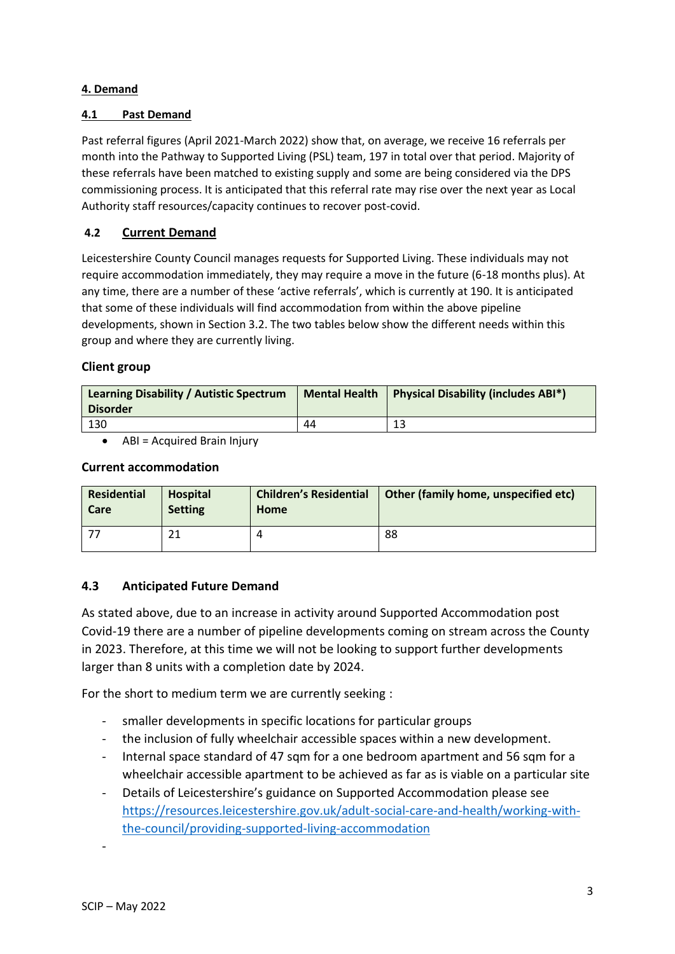#### **4. Demand**

#### **4.1 Past Demand**

Past referral figures (April 2021-March 2022) show that, on average, we receive 16 referrals per month into the Pathway to Supported Living (PSL) team, 197 in total over that period. Majority of these referrals have been matched to existing supply and some are being considered via the DPS commissioning process. It is anticipated that this referral rate may rise over the next year as Local Authority staff resources/capacity continues to recover post-covid.

## **4.2 Current Demand**

Leicestershire County Council manages requests for Supported Living. These individuals may not require accommodation immediately, they may require a move in the future (6-18 months plus). At any time, there are a number of these 'active referrals', which is currently at 190. It is anticipated that some of these individuals will find accommodation from within the above pipeline developments, shown in Section 3.2. The two tables below show the different needs within this group and where they are currently living.

### **Client group**

| Learning Disability / Autistic Spectrum<br><b>Disorder</b> |    | Mental Health   Physical Disability (includes $ABI^*$ ) |
|------------------------------------------------------------|----|---------------------------------------------------------|
| 130                                                        | 44 |                                                         |

• ABI = Acquired Brain Injury

#### **Current accommodation**

| <b>Residential</b> | <b>Hospital</b> | <b>Children's Residential</b> | Other (family home, unspecified etc) |
|--------------------|-----------------|-------------------------------|--------------------------------------|
| Care               | <b>Setting</b>  | Home                          |                                      |
|                    |                 |                               | 88                                   |

## **4.3 Anticipated Future Demand**

As stated above, due to an increase in activity around Supported Accommodation post Covid-19 there are a number of pipeline developments coming on stream across the County in 2023. Therefore, at this time we will not be looking to support further developments larger than 8 units with a completion date by 2024.

For the short to medium term we are currently seeking :

- smaller developments in specific locations for particular groups
- the inclusion of fully wheelchair accessible spaces within a new development.
- Internal space standard of 47 sqm for a one bedroom apartment and 56 sqm for a wheelchair accessible apartment to be achieved as far as is viable on a particular site
- Details of Leicestershire's guidance on Supported Accommodation please see [https://resources.leicestershire.gov.uk/adult-social-care-and-health/working-with](https://resources.leicestershire.gov.uk/adult-social-care-and-health/working-with-the-council/providing-supported-living-accommodation)[the-council/providing-supported-living-accommodation](https://resources.leicestershire.gov.uk/adult-social-care-and-health/working-with-the-council/providing-supported-living-accommodation)

-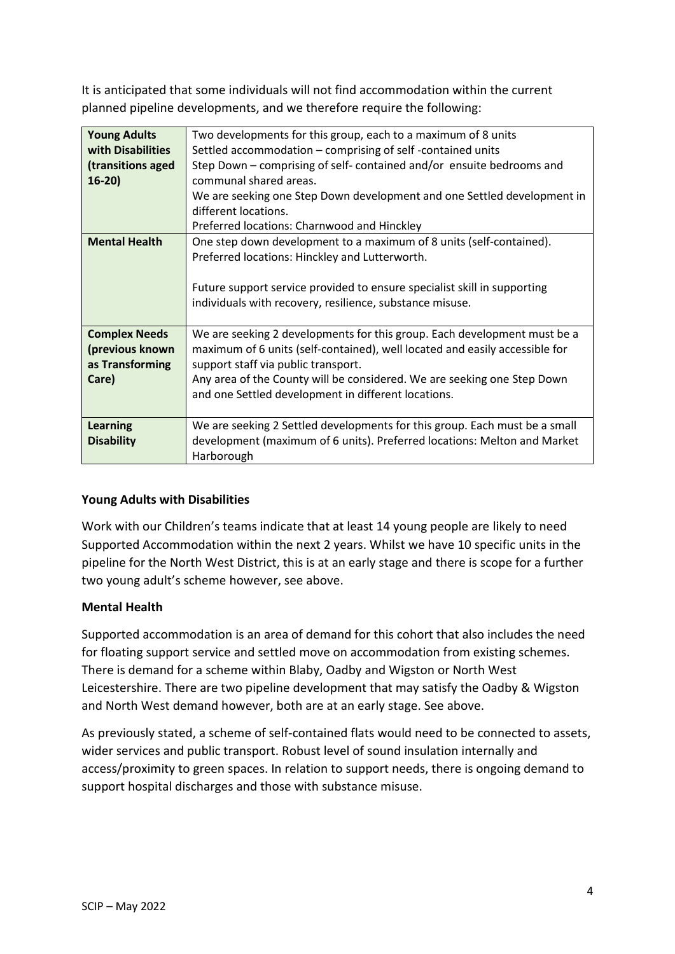It is anticipated that some individuals will not find accommodation within the current planned pipeline developments, and we therefore require the following:

| <b>Young Adults</b><br>Two developments for this group, each to a maximum of 8 units<br>with Disabilities<br>Settled accommodation – comprising of self-contained units<br>Step Down – comprising of self- contained and/or ensuite bedrooms and<br>(transitions aged<br>communal shared areas.<br>$16-20$<br>We are seeking one Step Down development and one Settled development in<br>different locations.<br>Preferred locations: Charnwood and Hinckley<br><b>Mental Health</b><br>One step down development to a maximum of 8 units (self-contained).<br>Preferred locations: Hinckley and Lutterworth.<br>Future support service provided to ensure specialist skill in supporting<br>individuals with recovery, resilience, substance misuse.<br>We are seeking 2 developments for this group. Each development must be a<br><b>Complex Needs</b><br>(previous known<br>maximum of 6 units (self-contained), well located and easily accessible for<br>as Transforming<br>support staff via public transport.<br>Any area of the County will be considered. We are seeking one Step Down<br>Care) |                                                     |
|-----------------------------------------------------------------------------------------------------------------------------------------------------------------------------------------------------------------------------------------------------------------------------------------------------------------------------------------------------------------------------------------------------------------------------------------------------------------------------------------------------------------------------------------------------------------------------------------------------------------------------------------------------------------------------------------------------------------------------------------------------------------------------------------------------------------------------------------------------------------------------------------------------------------------------------------------------------------------------------------------------------------------------------------------------------------------------------------------------------|-----------------------------------------------------|
|                                                                                                                                                                                                                                                                                                                                                                                                                                                                                                                                                                                                                                                                                                                                                                                                                                                                                                                                                                                                                                                                                                           |                                                     |
|                                                                                                                                                                                                                                                                                                                                                                                                                                                                                                                                                                                                                                                                                                                                                                                                                                                                                                                                                                                                                                                                                                           |                                                     |
|                                                                                                                                                                                                                                                                                                                                                                                                                                                                                                                                                                                                                                                                                                                                                                                                                                                                                                                                                                                                                                                                                                           |                                                     |
|                                                                                                                                                                                                                                                                                                                                                                                                                                                                                                                                                                                                                                                                                                                                                                                                                                                                                                                                                                                                                                                                                                           |                                                     |
|                                                                                                                                                                                                                                                                                                                                                                                                                                                                                                                                                                                                                                                                                                                                                                                                                                                                                                                                                                                                                                                                                                           |                                                     |
|                                                                                                                                                                                                                                                                                                                                                                                                                                                                                                                                                                                                                                                                                                                                                                                                                                                                                                                                                                                                                                                                                                           |                                                     |
|                                                                                                                                                                                                                                                                                                                                                                                                                                                                                                                                                                                                                                                                                                                                                                                                                                                                                                                                                                                                                                                                                                           |                                                     |
|                                                                                                                                                                                                                                                                                                                                                                                                                                                                                                                                                                                                                                                                                                                                                                                                                                                                                                                                                                                                                                                                                                           |                                                     |
|                                                                                                                                                                                                                                                                                                                                                                                                                                                                                                                                                                                                                                                                                                                                                                                                                                                                                                                                                                                                                                                                                                           |                                                     |
|                                                                                                                                                                                                                                                                                                                                                                                                                                                                                                                                                                                                                                                                                                                                                                                                                                                                                                                                                                                                                                                                                                           |                                                     |
|                                                                                                                                                                                                                                                                                                                                                                                                                                                                                                                                                                                                                                                                                                                                                                                                                                                                                                                                                                                                                                                                                                           |                                                     |
|                                                                                                                                                                                                                                                                                                                                                                                                                                                                                                                                                                                                                                                                                                                                                                                                                                                                                                                                                                                                                                                                                                           |                                                     |
|                                                                                                                                                                                                                                                                                                                                                                                                                                                                                                                                                                                                                                                                                                                                                                                                                                                                                                                                                                                                                                                                                                           |                                                     |
|                                                                                                                                                                                                                                                                                                                                                                                                                                                                                                                                                                                                                                                                                                                                                                                                                                                                                                                                                                                                                                                                                                           |                                                     |
|                                                                                                                                                                                                                                                                                                                                                                                                                                                                                                                                                                                                                                                                                                                                                                                                                                                                                                                                                                                                                                                                                                           |                                                     |
|                                                                                                                                                                                                                                                                                                                                                                                                                                                                                                                                                                                                                                                                                                                                                                                                                                                                                                                                                                                                                                                                                                           |                                                     |
|                                                                                                                                                                                                                                                                                                                                                                                                                                                                                                                                                                                                                                                                                                                                                                                                                                                                                                                                                                                                                                                                                                           |                                                     |
|                                                                                                                                                                                                                                                                                                                                                                                                                                                                                                                                                                                                                                                                                                                                                                                                                                                                                                                                                                                                                                                                                                           | and one Settled development in different locations. |
|                                                                                                                                                                                                                                                                                                                                                                                                                                                                                                                                                                                                                                                                                                                                                                                                                                                                                                                                                                                                                                                                                                           |                                                     |
| We are seeking 2 Settled developments for this group. Each must be a small<br><b>Learning</b>                                                                                                                                                                                                                                                                                                                                                                                                                                                                                                                                                                                                                                                                                                                                                                                                                                                                                                                                                                                                             |                                                     |
| development (maximum of 6 units). Preferred locations: Melton and Market<br><b>Disability</b>                                                                                                                                                                                                                                                                                                                                                                                                                                                                                                                                                                                                                                                                                                                                                                                                                                                                                                                                                                                                             |                                                     |
| Harborough                                                                                                                                                                                                                                                                                                                                                                                                                                                                                                                                                                                                                                                                                                                                                                                                                                                                                                                                                                                                                                                                                                |                                                     |

## **Young Adults with Disabilities**

Work with our Children's teams indicate that at least 14 young people are likely to need Supported Accommodation within the next 2 years. Whilst we have 10 specific units in the pipeline for the North West District, this is at an early stage and there is scope for a further two young adult's scheme however, see above.

#### **Mental Health**

Supported accommodation is an area of demand for this cohort that also includes the need for floating support service and settled move on accommodation from existing schemes. There is demand for a scheme within Blaby, Oadby and Wigston or North West Leicestershire. There are two pipeline development that may satisfy the Oadby & Wigston and North West demand however, both are at an early stage. See above.

As previously stated, a scheme of self-contained flats would need to be connected to assets, wider services and public transport. Robust level of sound insulation internally and access/proximity to green spaces. In relation to support needs, there is ongoing demand to support hospital discharges and those with substance misuse.